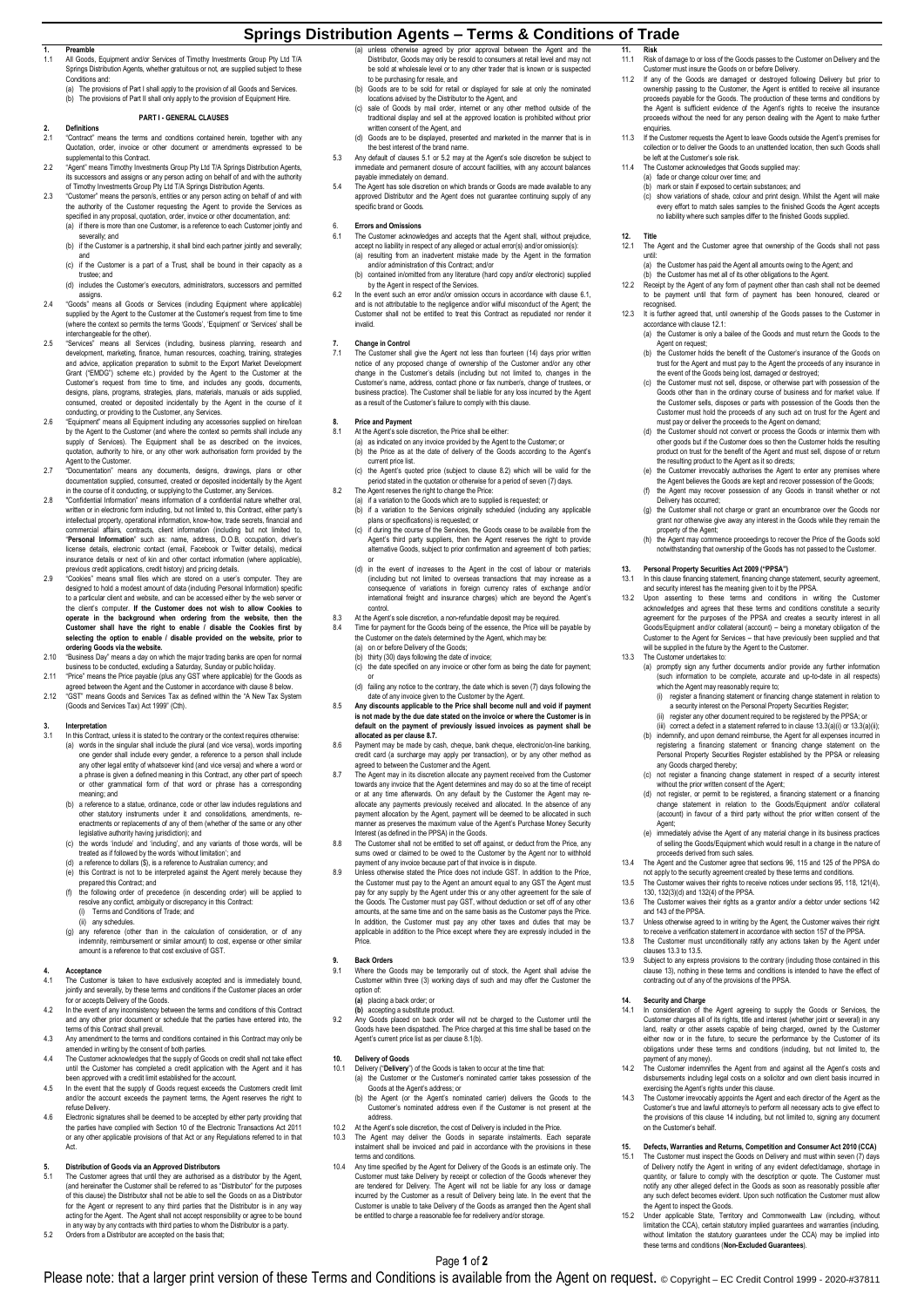# **Springs Distribution Agents – Terms & Conditions of Trade**

**1. Preamble** 1.1 All Goods, Equipment and/or Services of Timothy Investments Group Pty Ltd T/A Springs Distribution Agents, whether gratuitous or not, are suppons and: Springs Dis<br>Conditions

(a) The provisions of Part I shall apply to the provision of all Goods and Services The provisions of Part II shall only apply to the provision of Equipment Hire

# **PART I - GENERAL CLAUSES**

- **2. Definitions** "Contract" means the terms and conditions contained herein, together with any<br>Quotation, order, invoice or other document or amendments expressed to be<br>supplemental to this Contract.<br>"Agent" means Timothy Investments Group
- tts successors and assigns or any person acting on behalf of and with the authority<br>of Timothy Investments Group Pty Ltd T/A Springs Distribution Agents.<br>2.3 "Customer" means the person/s, entities or any person actin
- the authority of the Customer requesting the Agent to provide the Services as<br>specified in any proposal, quotation, order, invoice or other documentation, and:<br>(a) if there is more than one Customer, is a reference to each
	- everally; and (b) if the Customer is a partnership, it shall bind each partner jointly and severally;
	- and (c) if the Customer is a part of a Trust, shall be bound in their capacity as a
	- trustee; and (d) includes the Customer's executors, administrators, successors and permitted
- assigns.<br>Coods" means all Goods or Services (including Equipment where applicable)"<br>supplied by the Agent to the Customer at the Customer's request from time to time (where the context so permits the terms 'Goods', 'Equipment' or 'Services' shall be interchangeable for the other).
- 2.5 "Services" means all Services (including, business planning, research and development, marketing, finance, human resources, coaching, training, strategies and advice, application preparation to submit to the Export Market Development Grant ("EMDG") scheme etc.) provided by the Agent to the Customer at the<br>Customer's request from time to time, and includes any goods, documents,<br>designs, plans, programs, strategies, plans, materials, manuals or aids supp
- conducting, or providing to the Customer, any Services.<br>2.6 "Equipment" means all Equipment including any accessories supplied on hire/loan<br>by the Agent to the Customer (and where the context so permits shall include any supply of Services). The Equipment shall be as described on the invoices quotation, authority to hire, or any other work authorisation form provided by the
- Agent to the Customer. 2.7 "Documentation" means any documents, designs, drawings, plans or other
- documentation supplied, consumed, created or deposited incidentally by the Agent<br>in the course of it conducting, or supplying to the Customer, any Services<br>"Confidential Information" means information of a confidential nat commercial affairs, contracts, client information (including but not limited to,<br>"Personal Information" such as: name, address, D.O.B, occupation, driver's<br>license details, electronic contact (email, Facebook or Twitter de
- previous credit applications, credit history) and pricing details.<br>2.9 "Cookies" means small files which are stored on a user's computer. They are<br>designed to hold a modest amount of data (including Person to a particular client and website, and can be accessed either by the web server or<br>the client's computer. If the Customer does not wish to allow Cookies to the client's computer. **If the Customer does not wish to allow Cookies to**  operate in the background when ordering from the website, then the<br>Customer shall have the right to enable / disable the Cookies first by<br>selecting the option to enable / disable provided on the website, prior to **ordering Goods via the website.** 2.10 "Business Day" means a day on which the major trading banks are open for normal
- business to be conducted, excluding a Saturday, Sunday or public holiday. 2.11 "Price" means the Price payable (plus any GST where applicable) for the Goods as
- agreed between the Agent and the Customer in accordance with claus[e 8](#page-0-0) below. 2.12 "GST" means Goods and Services Tax as defined within the "A New Tax System (Goods and Services Tax) Act 1999" (Cth).

# **3. Interpretation**

- In this Contract, unless it is stated to the contrary or the context requires otherwise (a) words in the singular shall include the plural (and vice versa), words importing one gender shall include every gender, a reference to a person shall include any other legal entity of whatsoever kind (and vice versa) and where a word or<br>a phrase is given a defined meaning in this Contract, any other part of speech<br>or other grammatical form of that word or phrase has a correspon meaning; and
- (b) a reference to a statue, ordinance, code or other law includes regulations and other statutory instruments under it and consolidations, amendments, re-enactments or replacements of any of them (whether of the same or any other
- legislative authority having jurisdiction); and<br>(c) the words include' and 'including', and any variants of those words, will be<br>treated as if followed by the words 'without limitation'; and<br>(d) a reference to dollars (§),
- 
- 
- prepared this Contract; and (f) the following order of precedence (in descending order) will be applied to resolve any conflict, ambiguity or discrepancy in this Contract: (i) Terms and Conditions of Trade; and
- (ii) any schedules. (g) any reference (other than in the calculation of consideration, or of any indemnity, reimbursement or similar amount) to cost, expense or other similar amount is a reference to that cost exclusive of GST.

- **4.**<br>4.1 The Customer is taken to have exclusively accepted and is immediately bound,<br>jointly and severally, by these terms and conditions if the Customer places an order
- for or accepts Delivery of the Goods.<br>12 In the event of any inconsistency between the terms and conditions of this Contract<br>12 and any other prior document or schedule that the parties have entered into, the terms of this Contract shall prevail.
- 4.3 Any amendment to the terms and conditions contained in this Contract may only be amended in writing by the consent of both parties. 4.4 The Customer acknowledges that the supply of Goods on credit shall not take effect
- until the Customer has completed a credit application with the Agent and it has been approved with a credit limit established for the account.
- 4.5 In the event that the supply of Goods request exceeds the Customers credit limit and/or the account exceeds the payment terms, the Agent reserves the right to refuse Delivery.
- 4.6 Electronic signatures shall be deemed to be accepted by either party providing that<br>the parties have complied with Section 10 of the Electronic Transactions Act 2011<br>or any other applicable provisions of that Act or an Act.

- <span id="page-0-1"></span>5. Distribution of Goods via an Approved Distributors<br>5.1 The Customer agrees that until they are authorised as a distributor by the Agent,<br>(and hereinafter the Customer shall be referred to as "Distributor" for the purpos of this clause) the Distributor shall not be able to sell the Goods on as a Distributor for the Agent or represent to any third parties that the Distributor is in any way<br>acting for the Agent. The Agent shall not accept responsibility or agree to be bound<br>in any way by any contracts with third parties to whom
- <span id="page-0-2"></span>5.2 Orders from a Distributor are accepted on the basis that;
- (a) unless otherwise agreed by prior approval between the Agent and the<br>Distributor, Goods may only be resold to consumers at retail level and may not<br>be sold at wholesale level or to any other trader that is known or is s
- (b) Goods are to be sold for retail or displayed for sale at only the nominated
- locations advised by the Distributor to the Agent, and (c) sale of Goods by mail order, internet or any other method outside of the traditional display and sell at the approved location is prohibited without prior
- written consent of the Agent, and<br>
(d) Goods are to be displayed, presented and marketed in the manner that is in<br>
the best interest of the brand name.<br>
5.3 Any default of dause[s 5.1](#page-0-1) o[r 5.2](#page-0-2) may at the Agent's sole discreti
- 
- payable immediately on demand. 5.4 The Agent has sole discretion on which brands or Goods are made available to any approved Distributor and the Agent does not guarantee continuing supply of any specific brand or Goods.

- <span id="page-0-3"></span>6. **Errors and Omissions** 6.1 The Customer acknowledges and accepts that the Agent shall, without prejudice, accept no liability in respect of any alleged or actual error(s) and/or omission(s):<br>(a) resulting from an inadvertent mistake made by the Agent in the formation<br>and/or administration of this Contract; and/or<br>(b) contained
	-
- 6.2 In the event such an error and/or omission occurs in accordance with clause 6.1,<br>and is not attributable to the negligence and/or wiful misconduct of the Agent; the<br>Customer shall not be entitled to treat this Contract invalid.

**7. Change in Control** 7.1 The Customer shall give the Agent not less than fourteen (14) days prior written notice of any proposed change of ownership of the Customer and/or any other<br>change in the Customer's details (including but not limited to, changes in the<br>Customer's name, address, contact phone or fax number/s, change of

- <span id="page-0-6"></span><span id="page-0-0"></span>**8. Price and Payment** 8.1 At the Agent's sole discretion, the Price shall be either:
	- (a) as indicated on any invoice provided by the Agent to the Customer; or (b) the Price as at the date of delivery of the Goods according to the Agent's
	- current price list. (c) the Agent's quoted price (subject to claus[e 8.2\)](#page-0-4) which will be valid for the
	-
- <span id="page-0-4"></span>period stated in the quotation or otherwise for a period of seven (7) days.<br>The Agent reserves the right to change the Price:<br>(a) if a variation to the Goods which are to supplied is requested; or<br>(b) if a variation to the plans or specifications) is requested; or
	- c) if during the course of the Services, the Goods cease to be available from the<br>Agent's third party suppliers, then the Agent reserves the right to provide<br>alternative Goods, subject to prior confirmation and agreement o
	- (d) in the event of increases to the Agent in the cost of labour or materials (d) in the event of increases to the Agent in the cost of labour or materials)<br>including but not limited to overseas transactions that may increase as a)<br>consequence of variations in foreign currency rates of exchange and/ international freight and insurance charges) which are beyond the Agent's control.
- 8.3 At the Agent's sole discretion, a non-refundable deposit may be required.
- 8.4 Time for payment for the Goods being of the essence, the Price will be payable by the Customer on the date/s determined by the Agent, which may be:
	- (a) on or before Delivery of the Goods; (b) thirty (30) days following the date of invoice;
	- (c) the date specified on any invoice or other form as being the date for payment;
	- or (d) failing any notice to the contrary, the date which is seven (7) days following the
- date of any invoice given to the Customer by the Agent. 8.5 **Any discounts applicable to the Price shall become null and void if payment is not made by the due date stated on the invoice or where the Customer is in default on the payment of previously issued invoices as payment shall be allocated as per claus[e 8.7.](#page-0-5)** 8.6 Payment may be made by cash, cheque, bank cheque, electronic/on-line banking,
- credit card (a surcharge may apply per transaction), or by any other method as
- <span id="page-0-5"></span>agreed to between the Customer and the Agent.<br>8.7 The Agent may in its discretion allocate any payment received from the Customer<br>towards any invoice that the Agent determines and may do so at the time of receipt<br>or at any allocate any payments previously received and allocated. In the absence of any payment allocation by the Agent, payment will be deemed to be allocated in such manner as preserves the maximum value of the Agent's Purchase Money Security Interest (as defined in the PPSA) in the Goods.
- 8.8 The Customer shall not be entitled to set off against, or deduct from the Price, any<br>sums owed or claimed to be owed to the Customer by the Agent nor to withhold<br>payment of any invoice because part of that invoice is i
- the Customer must pay to the Agent an amount equal to any GST the Agent must<br>pay for any supply by the Agent under this or any other agreement for the sale of<br>the Goods. The Customer must pay GST, without deduction or set In addition, the Customer must pay any other taxes and duties that may be applicable in addition to the Price except where they are expressly included in the Price.

### **9. Back Orders**

- 9.1 Where the Goods may be temporarily out of stock, the Agent shall advise the Customer within three (3) working days of such and may offer the Customer the option of:
	-
- (a) placing a back order; or<br>(b) accepting a substitute product.<br>Any Goods placed on back order will not be charged to the Customer until the<br>Goods have been dispatched. The Price charged at this time shall be based on the Agent's current price list as per clause [8.1\(b\).](#page-0-6)

## **10. Delivery of Goods**

- 10.1 Delivery ("**Delivery**") of the Goods is taken to occur at the time that: (a) the Customer or the Customer's nominated carrier takes possession of the
	- Goods at the Agent's address; or
	- (b) the Agent (or the Agent's nominated carrier) delivers the Goods to the Customer's nominated address even if the Customer is not present at the address.
- 10.2 At the Agent's sole discretion, the cost of Delivery is included in the Price.<br>10.3 The Agent may deliver the Goods in separate instalments. Each
- 10.3 The Agent may deliver the Goods in separate instalments. Each separate instalment shall be invoiced and paid in accordance with the provisions in these
- terms and conditions.<br>10.4 Appt time specified by the Agent for Delivery of the Goods is an estimate only. The<br>Customer must take Delivery by receipt or collection of the Goods whenever they<br>are tendered for Delivery. The

Page **1** of **2** Please note: that a larger print version of these Terms and Conditions is available from the Agent on request. © Copyright – EC Credit Control 1999 - 2020-#37811

- 
- 11. Risk<br>11.1 Risk of damage to or loss of the Goods passes to the Customer on Delivery and the<br>Customer must insure the Goods on or before Delivery.<br>11.2 If any of the Goods are damaged or destroyed following Delivery but ownership passing to the Customer, the Agent is entitled to receive all insurance proceeds payable for the Goods. The production of these terms and conditions by the Agent is sufficient evidence of the Agent's rights to receive the insurance proceeds without the need for any person dealing with the Agent to make further .<br>enquiries.
- 11.3 If the Customer requests the Agent to leave Goods outside the Agent's premises for collection or to deliver the Goods to an unattended location, then such Goods shall
- be left at the Customer's sole risk. 11.4 The Customer acknowledges that Goods supplied may:
	-
	- (a) fade or change colour over time; and<br>(b) mark or stain if exposed to certain substances; and<br>(c) show variations of shade, colour and print design. Whilst the Agent will make<br>every effort to match sales samples to the no liability where such samples differ to the finished Goods supplied.

# **12. Title**

- <span id="page-0-7"></span>The Agent and the Customer agree that ownership of the Goods shall not pass until: (a) the Customer has paid the Agent all amounts owing to the Agent; and
- 
- (b) the Customer has met all of its other obligations to the Agent. 12.2 Receipt by the Agent of any form of payment other than cash shall not be deemed to be payment until that form of payment has been honoured, cleared or
- recognised. 12.3 It is further agreed that, until ownership of the Goods passes to the Customer in
	- accordance with claus[e 12.1:](#page-0-7) (a) the Customer is only a bailee of the Goods and must return the Goods to the
	- Agent on request; (b) the Customer holds the benefit of the Customer's insurance of the Goods on
	- trust for the Agent and must pay to the Agent the proceeds of any insurance in<br>the event of the Goods being lost, damaged or destroyed;<br>(c) the Customer must not sell, dispose, or otherwise part with possession of the<br>Good Customer must hold the proceeds of any such act on trust for the Agent and must pay or deliver the proceeds to the Agent on demand; (d) the Customer should not convert or process the Goods or intermix them with
	- other goods but if the Customer does so then the Customer holds the resulting product on trust for the benefit of the Agent and must sell, dispose of or return
	- the resulting product to the Agent as it so directs; (e) the Customer irrevocably authorises the Agent to enter any premises where the Agent believes the Goods are kept and recover possession of the Goods;
	- (f) the Agent may recover possession of any Goods in transit whether or not Delivery has occurred;
	- (g) the Customer shall not charge or grant an encumbrance over the Goods nor grant nor otherwise give away any interest in the Goods while they remain the
	- property of the Agent; (h) the Agent may commence proceedings to recover the Price of the Goods sold notwithstanding that ownership of the Goods has not passed to the Customer.

### <span id="page-0-13"></span>**13. Personal Property Securities Act 2009 ("PPSA")**

which the Agent may reasonably require to;<br>(i) register a financing statement or financing

- 13.1 In this clause financing statement, financing change statement, security agreement, and security interest has the meaning given to it by the PPSA.
- 13.2 Upon assenting to these terms and conditions in writing the Customer acknowledges and agrees that these terms and conditions constitute a security agreement for the purposes of the PPSA and creates a security interest in all Goods/Equipment and/or collateral (account) – being a monetary obligation of the Customer to the Agent for Services – that have previously been supplied and that will be supplied in the future by the Agent to the Customer. 13.3 The Customer undertakes to:

(a) promptly sign any further documents and/or provide any further information (such information to be complete, accurate and up-to-date in all respects)

<span id="page-0-11"></span><span id="page-0-10"></span>(ii) register any other document required to be registered by the PPSA; or<br>(iii) correct a defect in a statement referred to in claus[e 13.3\(](#page-0-8)[a\)\(](#page-0-9)i[i\)](#page-0-10);<br>(b) indemnify, and upon demand reimburse, the Agent for all expenses incur

any Goods charged thereby; (c) not register a financing change statement in respect of a security interest without the prior written consent of the Agent; (d) not register, or permit to be registered, a financing statement or a financing change statement in relation to the Goods/Equipment and/or collateral (account) in favour of a third party without the prior written consent of the

<span id="page-0-12"></span>(e) immediately advise the Agent of any material change in its business practices of selling the Goods/Equipment which would result in a change in the nature of proceeds derived from such sales. 13.4 The Agent and the Customer agree that sections 96, 115 and 125 of the PPSA do not apply to the security agreement created by these terms and conditions. 13.5 The Customer waives their rights to receive notices under sections 95, 118, 121(4), 130, 132(3)(d) and 132(4) of the PPSA. 13.6 The Customer waives their rights as a grantor and/or a debtor under sections 142 and 143 of the PPSA. 13.7 Unless otherwise agreed to in writing by the Agent, the Customer waives their right to receive a verification statement in accordance with section 157 of the PPSA. 13.8 The Customer must unconditionally ratify any actions taken by the Agent under

13.9 Subject to any express provisions to the contrary (including those contained in this claus[e 13\),](#page-0-13) nothing in these terms and conditions is intended to have the effect of contracting out of any of the provisions of the PPSA.

<span id="page-0-14"></span>**14. Security and Charge** 14.1 In consideration of the Agent agreeing to supply the Goods or Services, the Customer charges all of its rights, title and interest (whether joint or several) in any<br>land, realty or other assets capable of being charged, owned by the Customer<br>either now or in the future, to secure the performance b obligations under these terms and conditions (including, but not limited to, the

14.2 The Customer indemnifies the Agent from and against all the Agent's costs and<br>disbursements including legal costs on a solicitor and own client basis incurred in<br>exercising the Agent's rights under this clause.<br>14.3 T the provisions of this claus[e 14](#page-0-14) including, but not limited to, signing any document

<span id="page-0-16"></span><span id="page-0-15"></span>**15. Defects, Warranties and Returns, Competition and Consumer Act 2010 (CCA)** The Customer must inspect the Goods on Delivery and must within seven (7) days of Delivery notify the Agent in writing of any evident defect/damage, shortage in quantity, or failure to comply with the description or quote. The Customer must notify any other alleged defect in the Goods as soon as reasonably possible after any such defect becomes evident. Upon such notification the Customer must allow the Agent to inspect the Goods.<br>15.2 Under applicable State, Territory and Commonwealth Law (including, without<br>limitation the CCA), certain statutory implied guarantees and warranties (including, without limitation the statutory guarantees under the CCA) may be implied into these terms and conditions (**Non-Excluded Guarantees**).

(i) register a financing statement or financing change statement in relation to a security interest on the Personal Property Securities Register;

<span id="page-0-9"></span><span id="page-0-8"></span>

Agent;

clause[s 13.3](#page-0-8) t[o 13.5.](#page-0-12)

payment of any money).

on the Customer's behalf.